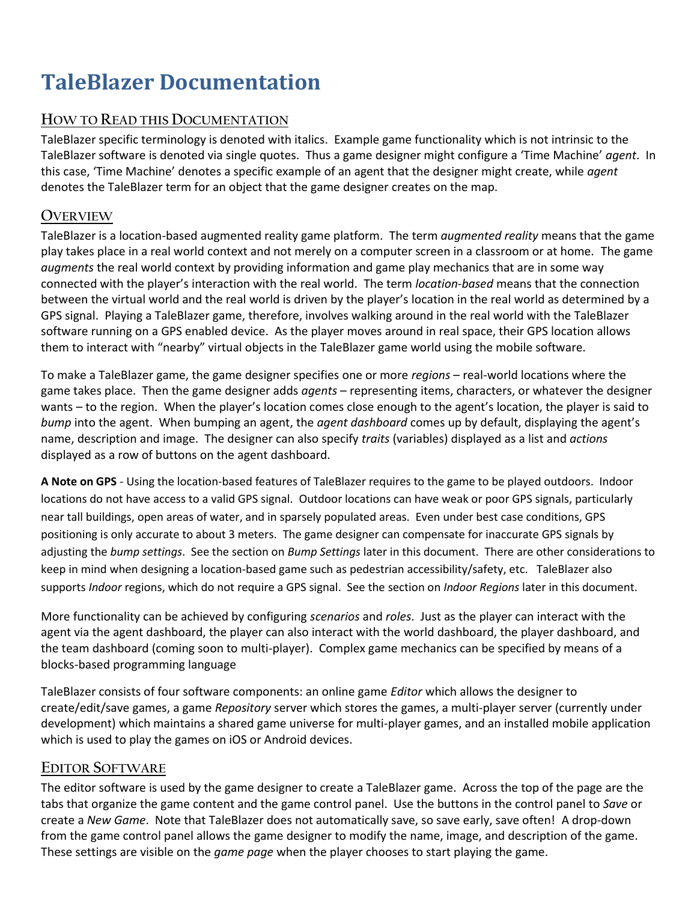# **TaleBlazer Documentation**

### **HOW TO READ THIS DOCUMENTATION**

TaleBlazer specific terminology is denoted with italics. Example game functionality which is not intrinsic to the TaleBlazer software is denoted via single quotes. Thus a game designer might configure a 'Time Machine' *agent*. In this case, 'Time Machine' denotes a specific example of an agent that the designer might create, while *agent* denotes the TaleBlazer term for an object that the game designer creates on the map.

#### **OVERVIEW**

TaleBlazer is a location-based augmented reality game platform. The term *augmented reality* means that the game play takes place in a real world context and not merely on a computer screen in a classroom or at home. The game *augments* the real world context by providing information and game play mechanics that are in some way connected with the player's interaction with the real world. The term *location-based* means that the connection between the virtual world and the real world is driven by the player's location in the real world as determined by a GPS signal. Playing a TaleBlazer game, therefore, involves walking around in the real world with the TaleBlazer software running on a GPS enabled device. As the player moves around in real space, their GPS location allows them to interact with "nearby" virtual objects in the TaleBlazer game world using the mobile software.

To make a TaleBlazer game, the game designer specifies one or more *regions* – real-world locations where the game takes place. Then the game designer adds *agents* – representing items, characters, or whatever the designer wants – to the region. When the player's location comes close enough to the agent's location, the player is said to *bump* into the agent. When bumping an agent, the *agent dashboard* comes up by default, displaying the agent's name, description and image. The designer can also specify *traits* (variables) displayed as a list and *actions* displayed as a row of buttons on the agent dashboard.

**A Note on GPS** - Using the location-based features of TaleBlazer requires to the game to be played outdoors. Indoor locations do not have access to a valid GPS signal. Outdoor locations can have weak or poor GPS signals, particularly near tall buildings, open areas of water, and in sparsely populated areas. Even under best case conditions, GPS positioning is only accurate to about 3 meters. The game designer can compensate for inaccurate GPS signals by adjusting the *bump settings*. See the section on *Bump Settings* later in this document. There are other considerations to keep in mind when designing a location-based game such as pedestrian accessibility/safety, etc. TaleBlazer also supports *Indoor* regions, which do not require a GPS signal. See the section on *Indoor Regions* later in this document.

More functionality can be achieved by configuring *scenarios* and *roles*. Just as the player can interact with the agent via the agent dashboard, the player can also interact with the world dashboard, the player dashboard, and the team dashboard (coming soon to multi-player). Complex game mechanics can be specified by means of a blocks-based programming language

TaleBlazer consists of four software components: an online game *Editor* which allows the designer to create/edit/save games, a game *Repository* server which stores the games, a multi-player server (currently under development) which maintains a shared game universe for multi-player games, and an installed mobile application which is used to play the games on iOS or Android devices.

#### **EDITOR SOFTWARE**

The editor software is used by the game designer to create a TaleBlazer game. Across the top of the page are the tabs that organize the game content and the game control panel. Use the buttons in the control panel to *Save* or create a *New Game*. Note that TaleBlazer does not automatically save, so save early, save often! A drop-down from the game control panel allows the game designer to modify the name, image, and description of the game. These settings are visible on the *game page* when the player chooses to start playing the game.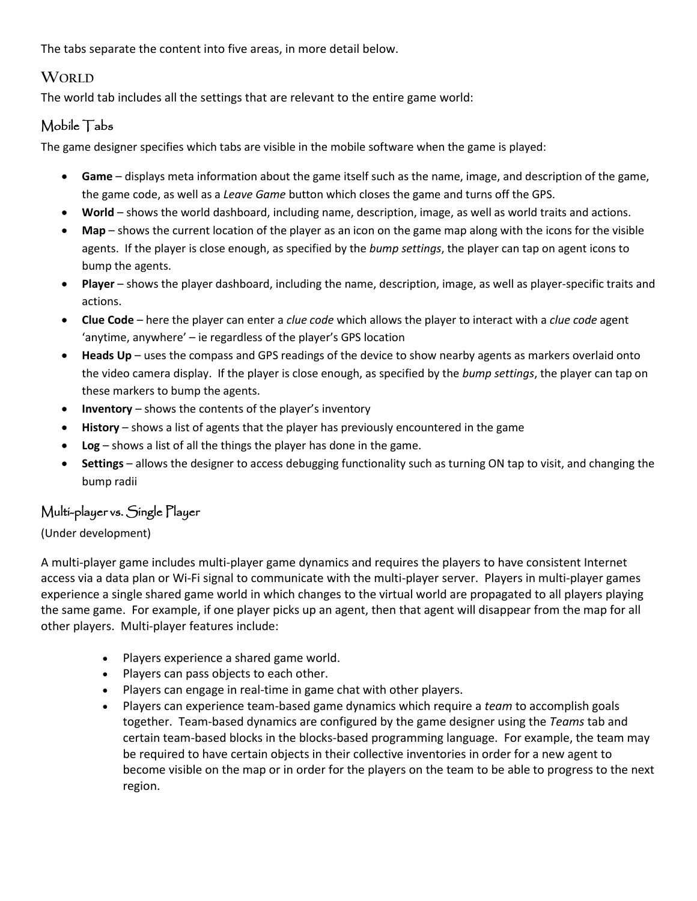The tabs separate the content into five areas, in more detail below.

### **WORLD**

The world tab includes all the settings that are relevant to the entire game world:

### Mobile Tabs

The game designer specifies which tabs are visible in the mobile software when the game is played:

- **Game** displays meta information about the game itself such as the name, image, and description of the game, the game code, as well as a *Leave Game* button which closes the game and turns off the GPS.
- **World** shows the world dashboard, including name, description, image, as well as world traits and actions.
- **Map**  shows the current location of the player as an icon on the game map along with the icons for the visible agents. If the player is close enough, as specified by the *bump settings*, the player can tap on agent icons to bump the agents.
- **Player**  shows the player dashboard, including the name, description, image, as well as player-specific traits and actions.
- **Clue Code**  here the player can enter a *clue code* which allows the player to interact with a *clue code* agent 'anytime, anywhere' – ie regardless of the player's GPS location
- **Heads Up** uses the compass and GPS readings of the device to show nearby agents as markers overlaid onto the video camera display. If the player is close enough, as specified by the *bump settings*, the player can tap on these markers to bump the agents.
- **Inventory**  shows the contents of the player's inventory
- **History**  shows a list of agents that the player has previously encountered in the game
- **Log** shows a list of all the things the player has done in the game.
- **Settings** allows the designer to access debugging functionality such as turning ON tap to visit, and changing the bump radii

### Multi-player vs. Single Player

#### (Under development)

A multi-player game includes multi-player game dynamics and requires the players to have consistent Internet access via a data plan or Wi-Fi signal to communicate with the multi-player server. Players in multi-player games experience a single shared game world in which changes to the virtual world are propagated to all players playing the same game. For example, if one player picks up an agent, then that agent will disappear from the map for all other players. Multi-player features include:

- Players experience a shared game world.
- Players can pass objects to each other.
- Players can engage in real-time in game chat with other players.
- Players can experience team-based game dynamics which require a *team* to accomplish goals together. Team-based dynamics are configured by the game designer using the *Teams* tab and certain team-based blocks in the blocks-based programming language. For example, the team may be required to have certain objects in their collective inventories in order for a new agent to become visible on the map or in order for the players on the team to be able to progress to the next region.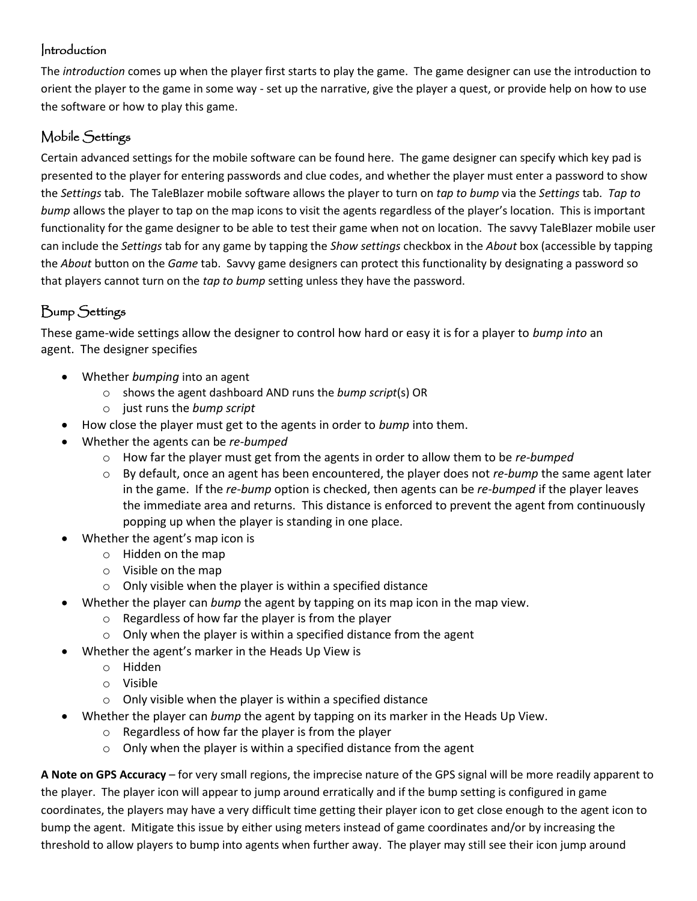### Introduction

The *introduction* comes up when the player first starts to play the game. The game designer can use the introduction to orient the player to the game in some way - set up the narrative, give the player a quest, or provide help on how to use the software or how to play this game.

### Mobile Settings

Certain advanced settings for the mobile software can be found here. The game designer can specify which key pad is presented to the player for entering passwords and clue codes, and whether the player must enter a password to show the *Settings* tab. The TaleBlazer mobile software allows the player to turn on *tap to bump* via the *Settings* tab. *Tap to bump* allows the player to tap on the map icons to visit the agents regardless of the player's location. This is important functionality for the game designer to be able to test their game when not on location. The savvy TaleBlazer mobile user can include the *Settings* tab for any game by tapping the *Show settings* checkbox in the *About* box (accessible by tapping the *About* button on the *Game* tab. Savvy game designers can protect this functionality by designating a password so that players cannot turn on the *tap to bump* setting unless they have the password.

# Bump Settings

These game-wide settings allow the designer to control how hard or easy it is for a player to *bump into* an agent. The designer specifies

- Whether *bumping* into an agent
	- o shows the agent dashboard AND runs the *bump script*(s) OR
	- o just runs the *bump script*
- How close the player must get to the agents in order to *bump* into them.
- Whether the agents can be *re-bumped*
	- o How far the player must get from the agents in order to allow them to be *re-bumped*
	- o By default, once an agent has been encountered, the player does not *re-bump* the same agent later in the game. If the *re-bump* option is checked, then agents can be *re-bumped* if the player leaves the immediate area and returns. This distance is enforced to prevent the agent from continuously popping up when the player is standing in one place.
- Whether the agent's map icon is
	- o Hidden on the map
	- o Visible on the map
	- $\circ$  Only visible when the player is within a specified distance
- Whether the player can *bump* the agent by tapping on its map icon in the map view.
	- o Regardless of how far the player is from the player
	- $\circ$  Only when the player is within a specified distance from the agent
- Whether the agent's marker in the Heads Up View is
	- o Hidden
	- o Visible
	- o Only visible when the player is within a specified distance
- Whether the player can *bump* the agent by tapping on its marker in the Heads Up View.
	- o Regardless of how far the player is from the player
	- $\circ$  Only when the player is within a specified distance from the agent

**A Note on GPS Accuracy** – for very small regions, the imprecise nature of the GPS signal will be more readily apparent to the player. The player icon will appear to jump around erratically and if the bump setting is configured in game coordinates, the players may have a very difficult time getting their player icon to get close enough to the agent icon to bump the agent. Mitigate this issue by either using meters instead of game coordinates and/or by increasing the threshold to allow players to bump into agents when further away. The player may still see their icon jump around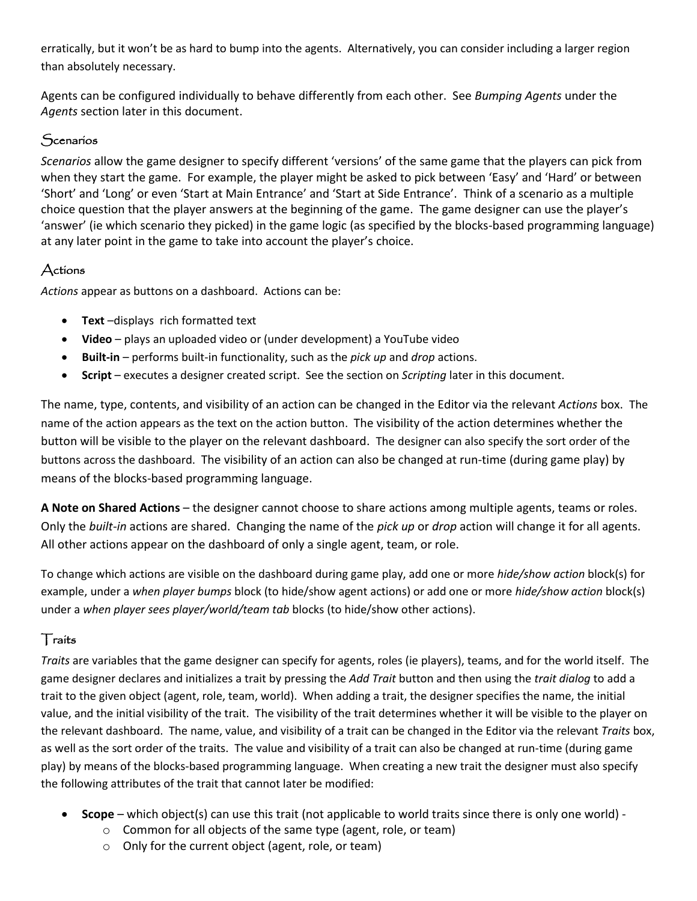erratically, but it won't be as hard to bump into the agents. Alternatively, you can consider including a larger region than absolutely necessary.

Agents can be configured individually to behave differently from each other. See *Bumping Agents* under the *Agents* section later in this document.

### **Scenarios**

*Scenarios* allow the game designer to specify different 'versions' of the same game that the players can pick from when they start the game. For example, the player might be asked to pick between 'Easy' and 'Hard' or between 'Short' and 'Long' or even 'Start at Main Entrance' and 'Start at Side Entrance'. Think of a scenario as a multiple choice question that the player answers at the beginning of the game. The game designer can use the player's 'answer' (ie which scenario they picked) in the game logic (as specified by the blocks-based programming language) at any later point in the game to take into account the player's choice.

### Actions

*Actions* appear as buttons on a dashboard. Actions can be:

- **Text** –displays rich formatted text
- **Video** plays an uploaded video or (under development) a YouTube video
- **Built-in** performs built-in functionality, such as the *pick up* and *drop* actions.
- **Script** executes a designer created script. See the section on *Scripting* later in this document.

The name, type, contents, and visibility of an action can be changed in the Editor via the relevant *Actions* box. The name of the action appears as the text on the action button. The visibility of the action determines whether the button will be visible to the player on the relevant dashboard. The designer can also specify the sort order of the buttons across the dashboard. The visibility of an action can also be changed at run-time (during game play) by means of the blocks-based programming language.

**A Note on Shared Actions** – the designer cannot choose to share actions among multiple agents, teams or roles. Only the *built-in* actions are shared. Changing the name of the *pick up* or *drop* action will change it for all agents. All other actions appear on the dashboard of only a single agent, team, or role.

To change which actions are visible on the dashboard during game play, add one or more *hide/show action* block(s) for example, under a *when player bumps* block (to hide/show agent actions) or add one or more *hide/show action* block(s) under a *when player sees player/world/team tab* blocks (to hide/show other actions).

### **Traits**

*Traits* are variables that the game designer can specify for agents, roles (ie players), teams, and for the world itself. The game designer declares and initializes a trait by pressing the *Add Trait* button and then using the *trait dialog* to add a trait to the given object (agent, role, team, world). When adding a trait, the designer specifies the name, the initial value, and the initial visibility of the trait. The visibility of the trait determines whether it will be visible to the player on the relevant dashboard. The name, value, and visibility of a trait can be changed in the Editor via the relevant *Traits* box, as well as the sort order of the traits. The value and visibility of a trait can also be changed at run-time (during game play) by means of the blocks-based programming language. When creating a new trait the designer must also specify the following attributes of the trait that cannot later be modified:

- **Scope** which object(s) can use this trait (not applicable to world traits since there is only one world)
	- o Common for all objects of the same type (agent, role, or team)
	- o Only for the current object (agent, role, or team)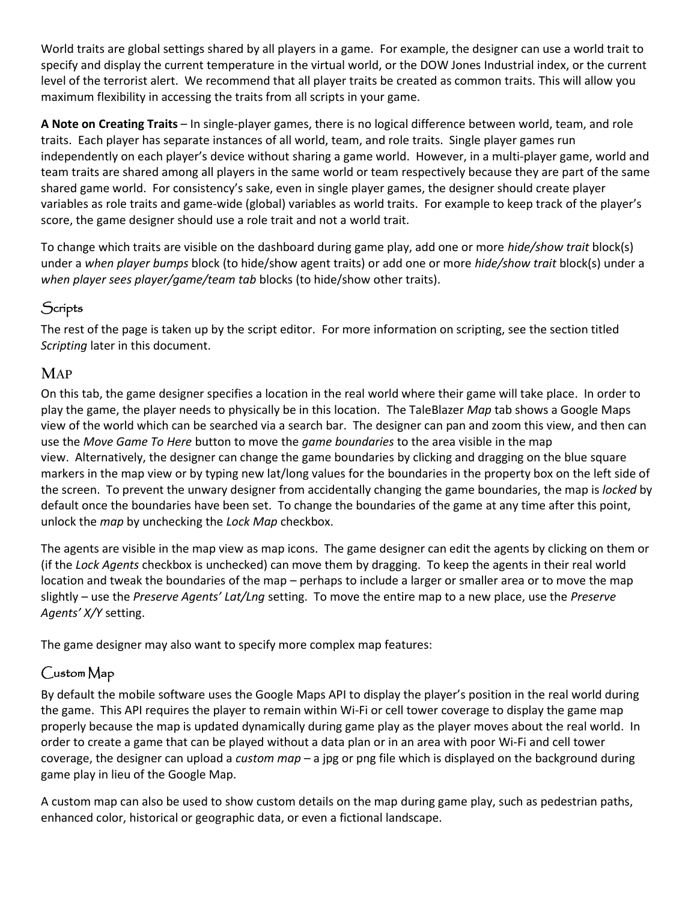World traits are global settings shared by all players in a game. For example, the designer can use a world trait to specify and display the current temperature in the virtual world, or the DOW Jones Industrial index, or the current level of the terrorist alert. We recommend that all player traits be created as common traits. This will allow you maximum flexibility in accessing the traits from all scripts in your game.

**A Note on Creating Traits** – In single-player games, there is no logical difference between world, team, and role traits. Each player has separate instances of all world, team, and role traits. Single player games run independently on each player's device without sharing a game world. However, in a multi-player game, world and team traits are shared among all players in the same world or team respectively because they are part of the same shared game world. For consistency's sake, even in single player games, the designer should create player variables as role traits and game-wide (global) variables as world traits. For example to keep track of the player's score, the game designer should use a role trait and not a world trait.

To change which traits are visible on the dashboard during game play, add one or more *hide/show trait* block(s) under a *when player bumps* block (to hide/show agent traits) or add one or more *hide/show trait* block(s) under a *when player sees player/game/team tab* blocks (to hide/show other traits).

# **Scripts**

The rest of the page is taken up by the script editor. For more information on scripting, see the section titled *Scripting* later in this document.

### **MAP**

On this tab, the game designer specifies a location in the real world where their game will take place. In order to play the game, the player needs to physically be in this location. The TaleBlazer *Map* tab shows a Google Maps view of the world which can be searched via a search bar. The designer can pan and zoom this view, and then can use the *Move Game To Here* button to move the *game boundaries* to the area visible in the map view. Alternatively, the designer can change the game boundaries by clicking and dragging on the blue square markers in the map view or by typing new lat/long values for the boundaries in the property box on the left side of the screen. To prevent the unwary designer from accidentally changing the game boundaries, the map is *locked* by default once the boundaries have been set. To change the boundaries of the game at any time after this point, unlock the *map* by unchecking the *Lock Map* checkbox.

The agents are visible in the map view as map icons. The game designer can edit the agents by clicking on them or (if the *Lock Agents* checkbox is unchecked) can move them by dragging. To keep the agents in their real world location and tweak the boundaries of the map – perhaps to include a larger or smaller area or to move the map slightly – use the *Preserve Agents' Lat/Lng* setting. To move the entire map to a new place, use the *Preserve Agents' X/Y* setting.

The game designer may also want to specify more complex map features:

### Custom Map

By default the mobile software uses the Google Maps API to display the player's position in the real world during the game. This API requires the player to remain within Wi-Fi or cell tower coverage to display the game map properly because the map is updated dynamically during game play as the player moves about the real world. In order to create a game that can be played without a data plan or in an area with poor Wi-Fi and cell tower coverage, the designer can upload a *custom map* – a jpg or png file which is displayed on the background during game play in lieu of the Google Map.

A custom map can also be used to show custom details on the map during game play, such as pedestrian paths, enhanced color, historical or geographic data, or even a fictional landscape.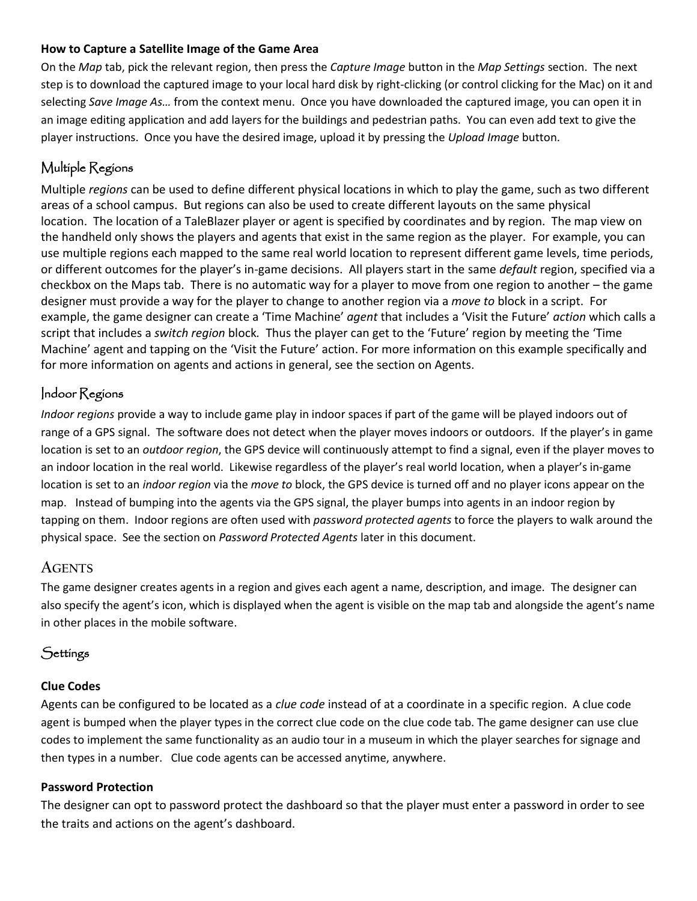#### **How to Capture a Satellite Image of the Game Area**

On the *Map* tab, pick the relevant region, then press the *Capture Image* button in the *Map Settings* section. The next step is to download the captured image to your local hard disk by right-clicking (or control clicking for the Mac) on it and selecting *Save Image As…* from the context menu. Once you have downloaded the captured image, you can open it in an image editing application and add layers for the buildings and pedestrian paths. You can even add text to give the player instructions. Once you have the desired image, upload it by pressing the *Upload Image* button.

### Multiple Regions

Multiple *regions* can be used to define different physical locations in which to play the game, such as two different areas of a school campus. But regions can also be used to create different layouts on the same physical location. The location of a TaleBlazer player or agent is specified by coordinates and by region. The map view on the handheld only shows the players and agents that exist in the same region as the player. For example, you can use multiple regions each mapped to the same real world location to represent different game levels, time periods, or different outcomes for the player's in-game decisions. All players start in the same *default* region, specified via a checkbox on the Maps tab. There is no automatic way for a player to move from one region to another – the game designer must provide a way for the player to change to another region via a *move to* block in a script. For example, the game designer can create a 'Time Machine' *agent* that includes a 'Visit the Future' *action* which calls a script that includes a *switch region* block*.* Thus the player can get to the 'Future' region by meeting the 'Time Machine' agent and tapping on the 'Visit the Future' action. For more information on this example specifically and for more information on agents and actions in general, see the section on Agents.

#### Indoor Regions

*Indoor regions* provide a way to include game play in indoor spaces if part of the game will be played indoors out of range of a GPS signal. The software does not detect when the player moves indoors or outdoors. If the player's in game location is set to an *outdoor region*, the GPS device will continuously attempt to find a signal, even if the player moves to an indoor location in the real world. Likewise regardless of the player's real world location, when a player's in-game location is set to an *indoor region* via the *move to* block, the GPS device is turned off and no player icons appear on the map. Instead of bumping into the agents via the GPS signal, the player bumps into agents in an indoor region by tapping on them. Indoor regions are often used with *password protected agents* to force the players to walk around the physical space. See the section on *Password Protected Agents* later in this document.

#### **AGENTS**

The game designer creates agents in a region and gives each agent a name, description, and image. The designer can also specify the agent's icon, which is displayed when the agent is visible on the map tab and alongside the agent's name in other places in the mobile software.

### Settings

#### **Clue Codes**

Agents can be configured to be located as a *clue code* instead of at a coordinate in a specific region. A clue code agent is bumped when the player types in the correct clue code on the clue code tab. The game designer can use clue codes to implement the same functionality as an audio tour in a museum in which the player searches for signage and then types in a number. Clue code agents can be accessed anytime, anywhere.

#### **Password Protection**

The designer can opt to password protect the dashboard so that the player must enter a password in order to see the traits and actions on the agent's dashboard.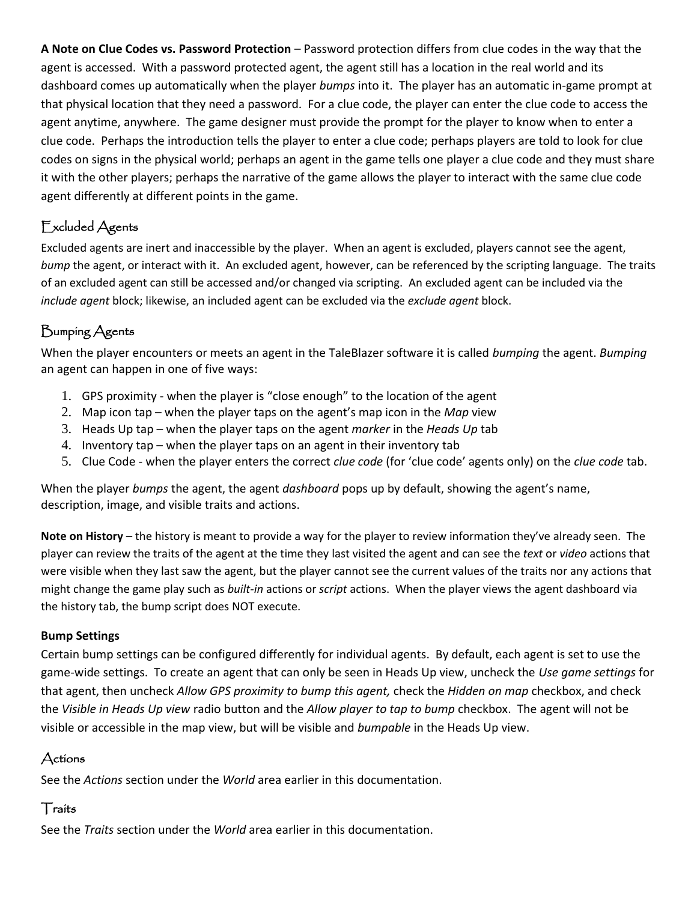**A Note on Clue Codes vs. Password Protection** – Password protection differs from clue codes in the way that the agent is accessed. With a password protected agent, the agent still has a location in the real world and its dashboard comes up automatically when the player *bumps* into it. The player has an automatic in-game prompt at that physical location that they need a password. For a clue code, the player can enter the clue code to access the agent anytime, anywhere. The game designer must provide the prompt for the player to know when to enter a clue code. Perhaps the introduction tells the player to enter a clue code; perhaps players are told to look for clue codes on signs in the physical world; perhaps an agent in the game tells one player a clue code and they must share it with the other players; perhaps the narrative of the game allows the player to interact with the same clue code agent differently at different points in the game.

# Excluded Agents

Excluded agents are inert and inaccessible by the player. When an agent is excluded, players cannot see the agent, *bump* the agent, or interact with it. An excluded agent, however, can be referenced by the scripting language. The traits of an excluded agent can still be accessed and/or changed via scripting. An excluded agent can be included via the *include agent* block; likewise, an included agent can be excluded via the *exclude agent* block.

# Bumping Agents

When the player encounters or meets an agent in the TaleBlazer software it is called *bumping* the agent. *Bumping* an agent can happen in one of five ways:

- 1. GPS proximity when the player is "close enough" to the location of the agent
- 2. Map icon tap when the player taps on the agent's map icon in the *Map* view
- 3. Heads Up tap when the player taps on the agent *marker* in the *Heads Up* tab
- 4. Inventory tap when the player taps on an agent in their inventory tab
- 5. Clue Code when the player enters the correct *clue code* (for 'clue code' agents only) on the *clue code* tab.

When the player *bumps* the agent, the agent *dashboard* pops up by default, showing the agent's name, description, image, and visible traits and actions.

**Note on History** – the history is meant to provide a way for the player to review information they've already seen. The player can review the traits of the agent at the time they last visited the agent and can see the *text* or *video* actions that were visible when they last saw the agent, but the player cannot see the current values of the traits nor any actions that might change the game play such as *built-in* actions or *script* actions. When the player views the agent dashboard via the history tab, the bump script does NOT execute.

### **Bump Settings**

Certain bump settings can be configured differently for individual agents. By default, each agent is set to use the game-wide settings. To create an agent that can only be seen in Heads Up view, uncheck the *Use game settings* for that agent, then uncheck *Allow GPS proximity to bump this agent,* check the *Hidden on map* checkbox, and check the *Visible in Heads Up view* radio button and the *Allow player to tap to bump* checkbox. The agent will not be visible or accessible in the map view, but will be visible and *bumpable* in the Heads Up view.

# Actions

See the *Actions* section under the *World* area earlier in this documentation.

### **Traits**

See the *Traits* section under the *World* area earlier in this documentation.